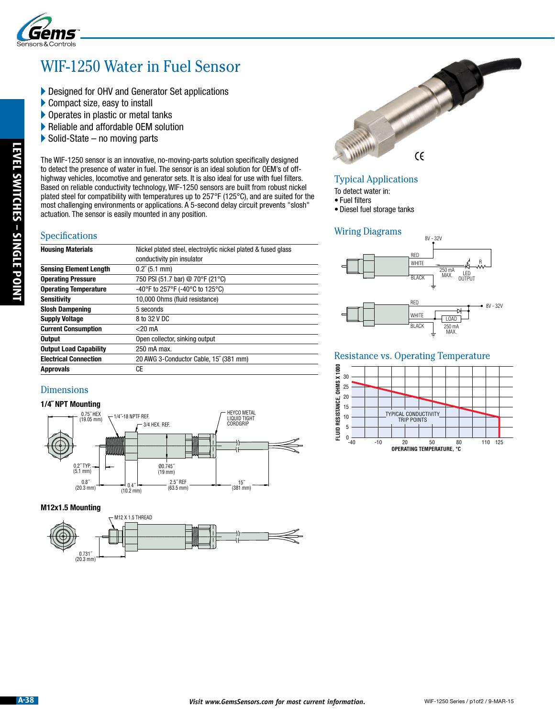

## WIF-1250 Water in Fuel Sensor

- Designed for OHV and Generator Set applications
- Compact size, easy to install
- **Operates in plastic or metal tanks**
- Reliable and affordable OEM solution
- $\triangleright$  Solid-State no moving parts

### Specifications

| Specifications                                                                                          | actuation. The sensor is easily mounted in any position.                                                                                                                     |  |
|---------------------------------------------------------------------------------------------------------|------------------------------------------------------------------------------------------------------------------------------------------------------------------------------|--|
| <b>Housing Materials</b>                                                                                | Nickel plated steel, electrolytic nickel plated & fused glass                                                                                                                |  |
|                                                                                                         | conductivity pin insulator                                                                                                                                                   |  |
| <b>Sensing Element Length</b><br><b>Operating Pressure</b>                                              | $0.2^{r}$ (5.1 mm)<br>750 PSI (51.7 bar) @ 70°F (21°C)                                                                                                                       |  |
| <b>Operating Temperature</b>                                                                            | -40°F to 257°F (-40°C to 125°C)                                                                                                                                              |  |
| <b>Sensitivity</b>                                                                                      | 10,000 Ohms (fluid resistance)                                                                                                                                               |  |
| <b>Slosh Dampening</b>                                                                                  | 5 seconds                                                                                                                                                                    |  |
| <b>Supply Voltage</b>                                                                                   | 8 to 32 V DC                                                                                                                                                                 |  |
| <b>Current Consumption</b>                                                                              | $<$ 20 mA                                                                                                                                                                    |  |
| <b>Output</b>                                                                                           | Open collector, sinking output                                                                                                                                               |  |
| <b>Output Load Capability</b>                                                                           | 250 mA max.                                                                                                                                                                  |  |
| <b>Electrical Connection</b><br><b>Approvals</b>                                                        | 20 AWG 3-Conductor Cable, 15" (381 mm)<br><b>CE</b>                                                                                                                          |  |
| (19.05 mm)<br>0.2" TYP.<br>$(5.1 \, \text{mm})$<br>$0.8^{n}$<br>$(20.3 \text{ mm})$<br>M12x1.5 Mounting | HEYCO METAL<br>LIQUID TIGHT<br>CORDGRIP<br>3/4 HEX. REF.<br>00.745"<br>$(19$ mm $)$<br>2.5" REF<br>15'<br>$0.4^{\circ}$<br>(63.5 mm)<br>$(381$ mm $)$<br>$(10.2 \text{ mm})$ |  |
| $_{(20.3\text{ mm})}^{0.731^{n}}$                                                                       | M12 X 1.5 THREAD                                                                                                                                                             |  |
|                                                                                                         |                                                                                                                                                                              |  |

### Dimensions

### **1/4˝ NPT Mounting**



### **M12x1.5 Mounting**



# 3  $\epsilon$

### Typical Applications

- To detect water in:
- Fuel filters
- Diesel fuel storage tanks

### Wiring Diagrams



### Resistance vs. Operating Temperature